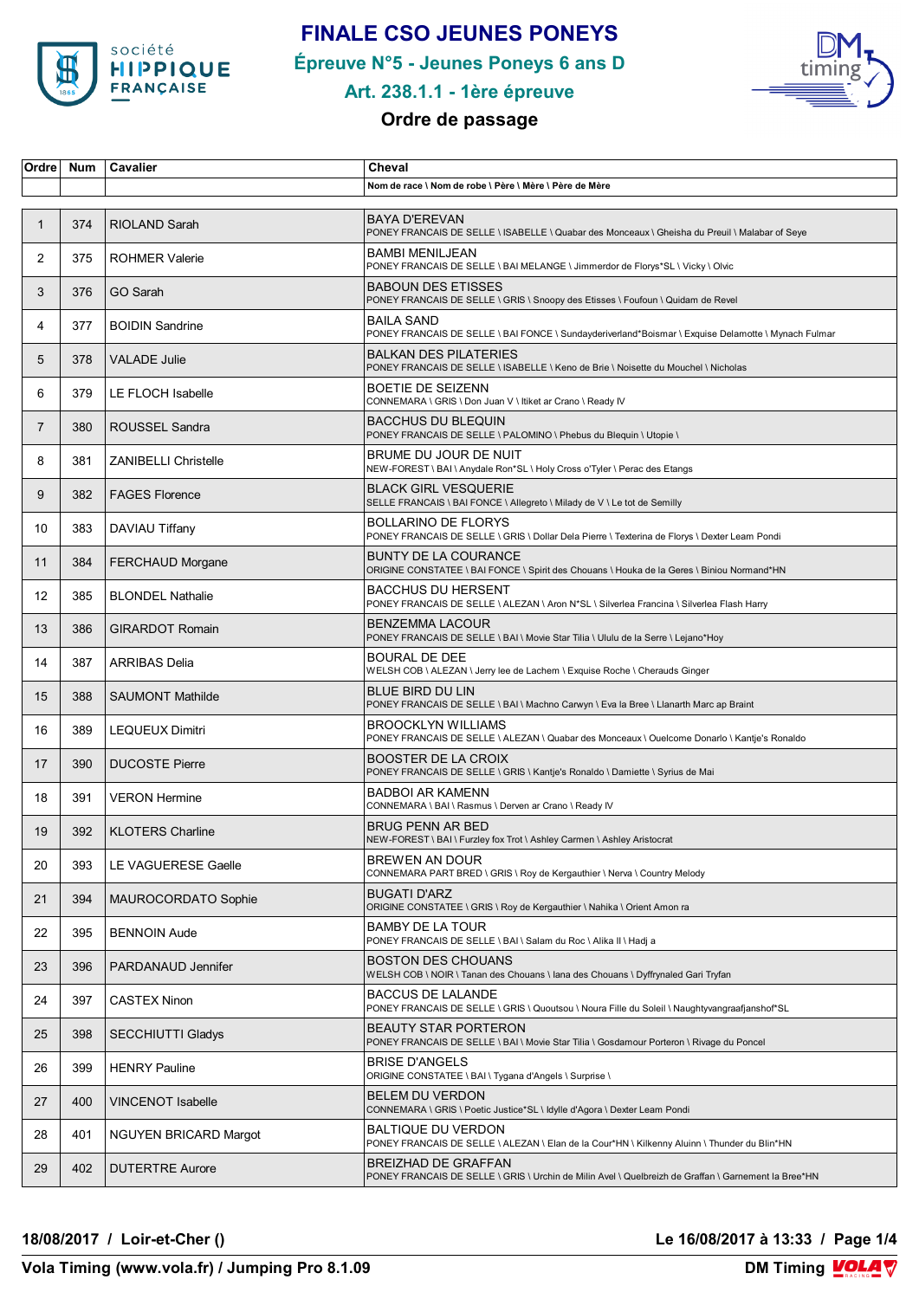

# **FINALE CSO JEUNES PONEYS**

**Épreuve N°5 - Jeunes Poneys 6 ans D**



### **Art. 238.1.1 - 1ère épreuve**

### **Ordre de passage**

| Ordre          | <b>Num</b> | Cavalier                     | Cheval                                                                                                                             |
|----------------|------------|------------------------------|------------------------------------------------------------------------------------------------------------------------------------|
|                |            |                              | Nom de race \ Nom de robe \ Père \ Mère \ Père de Mère                                                                             |
| $\mathbf{1}$   | 374        | <b>RIOLAND Sarah</b>         | <b>BAYA D'EREVAN</b><br>PONEY FRANCAIS DE SELLE \ ISABELLE \ Quabar des Monceaux \ Gheisha du Preuil \ Malabar of Seye             |
| $\overline{2}$ | 375        | <b>ROHMER Valerie</b>        | <b>BAMBI MENILJEAN</b><br>PONEY FRANCAIS DE SELLE \ BAI MELANGE \ Jimmerdor de Florys*SL \ Vicky \ Olvic                           |
| 3              | 376        | GO Sarah                     | <b>BABOUN DES ETISSES</b><br>PONEY FRANCAIS DE SELLE \ GRIS \ Snoopy des Etisses \ Foufoun \ Quidam de Revel                       |
| 4              | 377        | <b>BOIDIN Sandrine</b>       | <b>BAILA SAND</b><br>PONEY FRANCAIS DE SELLE \ BAI FONCE \ Sundayderiverland*Boismar \ Exquise Delamotte \ Mynach Fulmar           |
| 5              | 378        | <b>VALADE Julie</b>          | <b>BALKAN DES PILATERIES</b><br>PONEY FRANCAIS DE SELLE \ ISABELLE \ Keno de Brie \ Noisette du Mouchel \ Nicholas                 |
| 6              | 379        | LE FLOCH Isabelle            | BOETIE DE SEIZENN<br>CONNEMARA \ GRIS \ Don Juan V \ Itiket ar Crano \ Ready IV                                                    |
| $\overline{7}$ | 380        | ROUSSEL Sandra               | <b>BACCHUS DU BLEQUIN</b><br>PONEY FRANCAIS DE SELLE \ PALOMINO \ Phebus du Blequin \ Utopie \                                     |
| 8              | 381        | <b>ZANIBELLI Christelle</b>  | BRUME DU JOUR DE NUIT<br>NEW-FOREST \ BAI \ Anydale Ron*SL \ Holy Cross o'Tyler \ Perac des Etangs                                 |
| 9              | 382        | <b>FAGES Florence</b>        | <b>BLACK GIRL VESQUERIE</b><br>SELLE FRANCAIS \ BAI FONCE \ Allegreto \ Milady de V \ Le tot de Semilly                            |
| 10             | 383        | DAVIAU Tiffany               | <b>BOLLARINO DE FLORYS</b><br>PONEY FRANCAIS DE SELLE \ GRIS \ Dollar Dela Pierre \ Texterina de Florys \ Dexter Leam Pondi        |
| 11             | 384        | <b>FERCHAUD Morgane</b>      | <b>BUNTY DE LA COURANCE</b><br>ORIGINE CONSTATEE \ BAI FONCE \ Spirit des Chouans \ Houka de la Geres \ Biniou Normand*HN          |
| 12             | 385        | <b>BLONDEL Nathalie</b>      | <b>BACCHUS DU HERSENT</b><br>PONEY FRANCAIS DE SELLE \ ALEZAN \ Aron N*SL \ Silverlea Francina \ Silverlea Flash Harry             |
| 13             | 386        | <b>GIRARDOT Romain</b>       | <b>BENZEMMA LACOUR</b><br>PONEY FRANCAIS DE SELLE \ BAI \ Movie Star Tilia \ Ululu de la Serre \ Lejano*Hoy                        |
| 14             | 387        | <b>ARRIBAS Delia</b>         | <b>BOURAL DE DEE</b><br>WELSH COB \ ALEZAN \ Jerry lee de Lachem \ Exquise Roche \ Cherauds Ginger                                 |
| 15             | 388        | <b>SAUMONT Mathilde</b>      | BLUE BIRD DU LIN<br>PONEY FRANCAIS DE SELLE \ BAI \ Machno Carwyn \ Eva la Bree \ Llanarth Marc ap Braint                          |
| 16             | 389        | <b>LEQUEUX Dimitri</b>       | <b>BROOCKLYN WILLIAMS</b><br>PONEY FRANCAIS DE SELLE \ ALEZAN \ Quabar des Monceaux \ Ouelcome Donarlo \ Kantje's Ronaldo          |
| 17             | 390        | <b>DUCOSTE Pierre</b>        | <b>BOOSTER DE LA CROIX</b><br>PONEY FRANCAIS DE SELLE \ GRIS \ Kantje's Ronaldo \ Damiette \ Syrius de Mai                         |
| 18             | 391        | <b>VERON Hermine</b>         | <b>BADBOI AR KAMENN</b><br>CONNEMARA \ BAI \ Rasmus \ Derven ar Crano \ Ready IV                                                   |
| 19             | 392        | <b>KLOTERS Charline</b>      | <b>BRUG PENN AR BED</b><br>NEW-FOREST \ BAI \ Furzley fox Trot \ Ashley Carmen \ Ashley Aristocrat                                 |
| 20             | 393        | LE VAGUERESE Gaelle          | BREWEN AN DOUR<br>CONNEMARA PART BRED \ GRIS \ Roy de Kergauthier \ Nerva \ Country Melody                                         |
| 21             | 394        | MAUROCORDATO Sophie          | <b>BUGATI D'ARZ</b><br>ORIGINE CONSTATEE \ GRIS \ Roy de Kergauthier \ Nahika \ Orient Amon ra                                     |
| 22             | 395        | <b>BENNOIN Aude</b>          | <b>BAMBY DE LA TOUR</b><br>PONEY FRANCAIS DE SELLE \ BAI \ Salam du Roc \ Alika II \ Hadj a                                        |
| 23             | 396        | PARDANAUD Jennifer           | <b>BOSTON DES CHOUANS</b><br>WELSH COB \ NOIR \ Tanan des Chouans \ Iana des Chouans \ Dyffrynaled Gari Tryfan                     |
| 24             | 397        | <b>CASTEX Ninon</b>          | <b>BACCUS DE LALANDE</b><br>PONEY FRANCAIS DE SELLE \ GRIS \ Quoutsou \ Noura Fille du Soleil \ Naughtyvangraafjanshof*SL          |
| 25             | 398        | <b>SECCHIUTTI Gladys</b>     | <b>BEAUTY STAR PORTERON</b><br>PONEY FRANCAIS DE SELLE \ BAI \ Movie Star Tilia \ Gosdamour Porteron \ Rivage du Poncel            |
| 26             | 399        | <b>HENRY Pauline</b>         | <b>BRISE D'ANGELS</b><br>ORIGINE CONSTATEE \ BAI \ Tygana d'Angels \ Surprise \                                                    |
| 27             | 400        | <b>VINCENOT Isabelle</b>     | <b>BELEM DU VERDON</b><br>CONNEMARA \ GRIS \ Poetic Justice*SL \ ldylle d'Agora \ Dexter Leam Pondi                                |
| 28             | 401        | <b>NGUYEN BRICARD Margot</b> | BALTIQUE DU VERDON<br>PONEY FRANCAIS DE SELLE \ ALEZAN \ Elan de la Cour*HN \ Kilkenny Aluinn \ Thunder du Blin*HN                 |
| 29             | 402        | <b>DUTERTRE Aurore</b>       | <b>BREIZHAD DE GRAFFAN</b><br>PONEY FRANCAIS DE SELLE \ GRIS \ Urchin de Milin Avel \ Quelbreizh de Graffan \ Garnement la Bree*HN |

**18/08/2017 / Loir-et-Cher () Le 16/08/2017 à 13:33 / Page 1/4**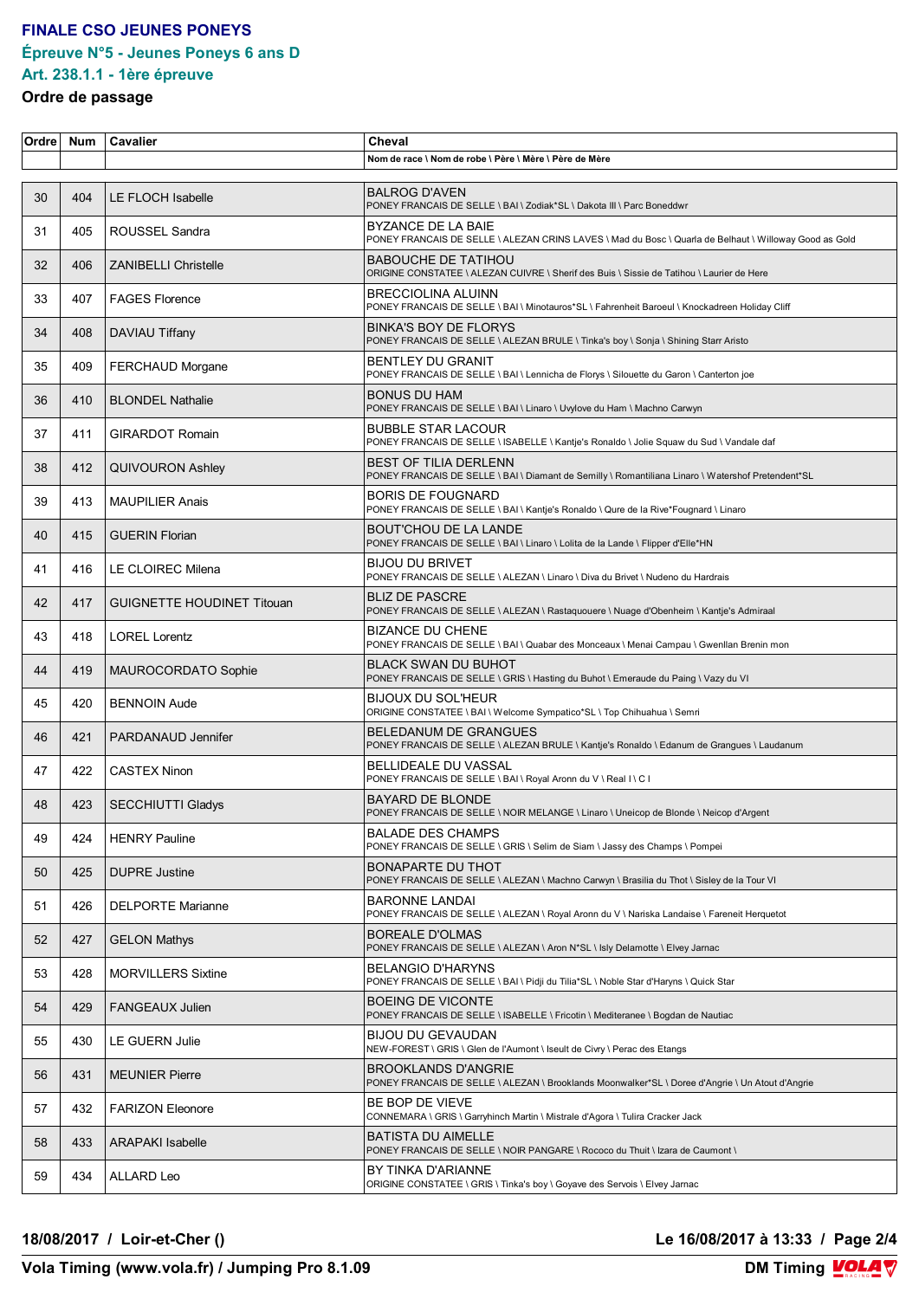## **FINALE CSO JEUNES PONEYS Épreuve N°5 - Jeunes Poneys 6 ans D**

# **Art. 238.1.1 - 1ère épreuve**

#### **Ordre de passage**

| Ordre | <b>Num</b> | Cavalier                          | Cheval                                                                                                                             |
|-------|------------|-----------------------------------|------------------------------------------------------------------------------------------------------------------------------------|
|       |            |                                   | Nom de race \ Nom de robe \ Père \ Mère \ Père de Mère                                                                             |
| 30    | 404        | LE FLOCH Isabelle                 | <b>BALROG D'AVEN</b><br>PONEY FRANCAIS DE SELLE \ BAI \ Zodiak*SL \ Dakota III \ Parc Boneddwr                                     |
| 31    | 405        | ROUSSEL Sandra                    | BYZANCE DE LA BAIE<br>PONEY FRANCAIS DE SELLE \ ALEZAN CRINS LAVES \ Mad du Bosc \ Quarla de Belhaut \ Willoway Good as Gold       |
| 32    | 406        | <b>ZANIBELLI Christelle</b>       | <b>BABOUCHE DE TATIHOU</b><br>ORIGINE CONSTATEE \ ALEZAN CUIVRE \ Sherif des Buis \ Sissie de Tatihou \ Laurier de Here            |
| 33    | 407        | <b>FAGES Florence</b>             | BRECCIOLINA ALUINN<br>PONEY FRANCAIS DE SELLE \ BAI \ Minotauros*SL \ Fahrenheit Baroeul \ Knockadreen Holiday Cliff               |
| 34    | 408        | DAVIAU Tiffany                    | <b>BINKA'S BOY DE FLORYS</b><br>PONEY FRANCAIS DE SELLE \ ALEZAN BRULE \ Tinka's boy \ Sonja \ Shining Starr Aristo                |
| 35    | 409        | FERCHAUD Morgane                  | <b>BENTLEY DU GRANIT</b><br>PONEY FRANCAIS DE SELLE \ BAI \ Lennicha de Florys \ Silouette du Garon \ Canterton joe                |
| 36    | 410        | <b>BLONDEL Nathalie</b>           | <b>BONUS DU HAM</b><br>PONEY FRANCAIS DE SELLE \ BAI \ Linaro \ Uvylove du Ham \ Machno Carwyn                                     |
| 37    | 411        | <b>GIRARDOT Romain</b>            | <b>BUBBLE STAR LACOUR</b><br>PONEY FRANCAIS DE SELLE \ ISABELLE \ Kantje's Ronaldo \ Jolie Squaw du Sud \ Vandale daf              |
| 38    | 412        | <b>QUIVOURON Ashley</b>           | <b>BEST OF TILIA DERLENN</b><br>PONEY FRANCAIS DE SELLE \ BAI \ Diamant de Semilly \ Romantiliana Linaro \ Watershof Pretendent*SL |
| 39    | 413        | <b>MAUPILIER Anais</b>            | <b>BORIS DE FOUGNARD</b><br>PONEY FRANCAIS DE SELLE \ BAI \ Kantje's Ronaldo \ Qure de la Rive*Fougnard \ Linaro                   |
| 40    | 415        | <b>GUERIN Florian</b>             | <b>BOUT'CHOU DE LA LANDE</b><br>PONEY FRANCAIS DE SELLE \ BAI \ Linaro \ Lolita de la Lande \ Flipper d'Elle*HN                    |
| 41    | 416        | LE CLOIREC Milena                 | <b>BIJOU DU BRIVET</b><br>PONEY FRANCAIS DE SELLE \ ALEZAN \ Linaro \ Diva du Brivet \ Nudeno du Hardrais                          |
| 42    | 417        | <b>GUIGNETTE HOUDINET Titouan</b> | <b>BLIZ DE PASCRE</b><br>PONEY FRANCAIS DE SELLE \ ALEZAN \ Rastaquouere \ Nuage d'Obenheim \ Kantje's Admiraal                    |
| 43    | 418        | <b>LOREL Lorentz</b>              | <b>BIZANCE DU CHENE</b><br>PONEY FRANCAIS DE SELLE \ BAI \ Quabar des Monceaux \ Menai Campau \ Gwenllan Brenin mon                |
| 44    | 419        | MAUROCORDATO Sophie               | <b>BLACK SWAN DU BUHOT</b><br>PONEY FRANCAIS DE SELLE \ GRIS \ Hasting du Buhot \ Emeraude du Paing \ Vazy du VI                   |
| 45    | 420        | <b>BENNOIN Aude</b>               | <b>BIJOUX DU SOL'HEUR</b><br>ORIGINE CONSTATEE \ BAI \ Welcome Sympatico*SL \ Top Chihuahua \ Semri                                |
| 46    | 421        | PARDANAUD Jennifer                | <b>BELEDANUM DE GRANGUES</b><br>PONEY FRANCAIS DE SELLE \ ALEZAN BRULE \ Kantje's Ronaldo \ Edanum de Grangues \ Laudanum          |
| 47    | 422        | <b>CASTEX Ninon</b>               | <b>BELLIDEALE DU VASSAL</b><br>PONEY FRANCAIS DE SELLE \ BAI \ Royal Aronn du V \ Real I \ C I                                     |
| 48    | 423        | <b>SECCHIUTTI Gladys</b>          | <b>BAYARD DE BLONDE</b><br>PONEY FRANCAIS DE SELLE \ NOIR MELANGE \ Linaro \ Uneicop de Blonde \ Neicop d'Argent                   |
| 49    | 424        | <b>HENRY Pauline</b>              | <b>BALADE DES CHAMPS</b><br>PONEY FRANCAIS DE SELLE \ GRIS \ Selim de Siam \ Jassy des Champs \ Pompei                             |
| 50    | 425        | <b>DUPRE Justine</b>              | <b>BONAPARTE DU THOT</b><br>PONEY FRANCAIS DE SELLE \ ALEZAN \ Machno Carwyn \ Brasilia du Thot \ Sisley de la Tour VI             |
| 51    | 426        | <b>DELPORTE Marianne</b>          | <b>BARONNE LANDAI</b><br>PONEY FRANCAIS DE SELLE \ ALEZAN \ Royal Aronn du V \ Nariska Landaise \ Fareneit Herquetot               |
| 52    | 427        | <b>GELON Mathys</b>               | <b>BOREALE D'OLMAS</b><br>PONEY FRANCAIS DE SELLE \ ALEZAN \ Aron N*SL \ Isly Delamotte \ Elvey Jarnac                             |
| 53    | 428        | <b>MORVILLERS Sixtine</b>         | BELANGIO D'HARYNS<br>PONEY FRANCAIS DE SELLE \ BAI \ Pidji du Tilia*SL \ Noble Star d'Haryns \ Quick Star                          |
| 54    | 429        | <b>FANGEAUX Julien</b>            | <b>BOEING DE VICONTE</b><br>PONEY FRANCAIS DE SELLE \ ISABELLE \ Fricotin \ Mediteranee \ Bogdan de Nautiac                        |
| 55    | 430        | LE GUERN Julie                    | <b>BIJOU DU GEVAUDAN</b><br>NEW-FOREST \ GRIS \ Glen de l'Aumont \ Iseult de Civry \ Perac des Etangs                              |
| 56    | 431        | <b>MEUNIER Pierre</b>             | <b>BROOKLANDS D'ANGRIE</b><br>PONEY FRANCAIS DE SELLE \ ALEZAN \ Brooklands Moonwalker*SL \ Doree d'Angrie \ Un Atout d'Angrie     |
| 57    | 432        | <b>FARIZON Eleonore</b>           | BE BOP DE VIEVE<br>CONNEMARA \ GRIS \ Garryhinch Martin \ Mistrale d'Agora \ Tulira Cracker Jack                                   |
| 58    | 433        | <b>ARAPAKI Isabelle</b>           | <b>BATISTA DU AIMELLE</b><br>PONEY FRANCAIS DE SELLE \ NOIR PANGARE \ Rococo du Thuit \ Izara de Caumont \                         |
| 59    | 434        | ALLARD Leo                        | BY TINKA D'ARIANNE<br>ORIGINE CONSTATEE \ GRIS \ Tinka's boy \ Goyave des Servois \ Elvey Jarnac                                   |

**18/08/2017 / Loir-et-Cher () Le 16/08/2017 à 13:33 / Page 2/4**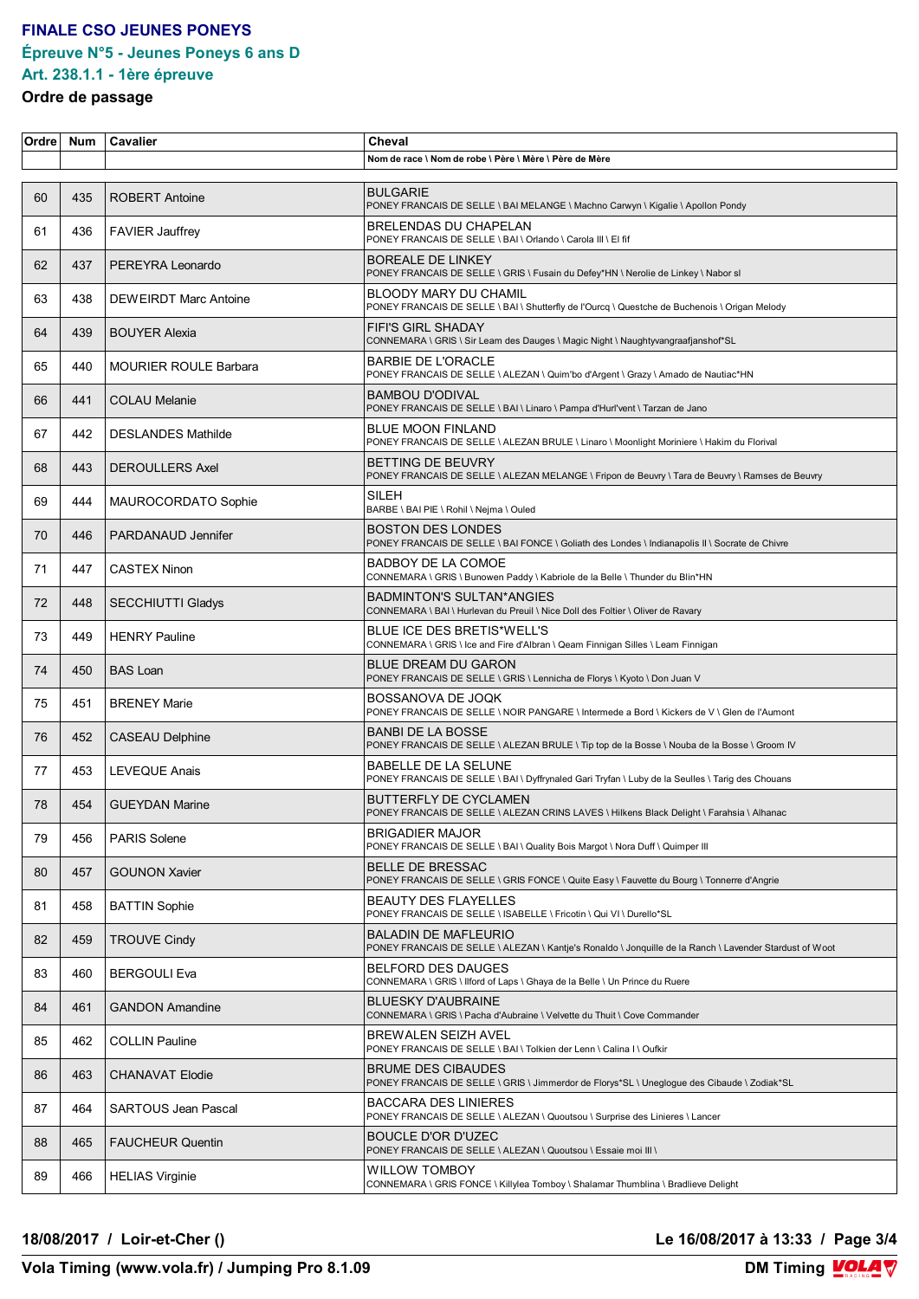# **FINALE CSO JEUNES PONEYS Épreuve N°5 - Jeunes Poneys 6 ans D**

#### **Art. 238.1.1 - 1ère épreuve Ordre de passage**

| Ordre | <b>Num</b> | Cavalier                     | Cheval                                                                                                                                 |
|-------|------------|------------------------------|----------------------------------------------------------------------------------------------------------------------------------------|
|       |            |                              | Nom de race \ Nom de robe \ Père \ Mère \ Père de Mère                                                                                 |
| 60    | 435        | <b>ROBERT Antoine</b>        | <b>BULGARIE</b><br>PONEY FRANCAIS DE SELLE \ BAI MELANGE \ Machno Carwyn \ Kigalie \ Apollon Pondy                                     |
| 61    | 436        | <b>FAVIER Jauffrey</b>       | BRELENDAS DU CHAPELAN<br>PONEY FRANCAIS DE SELLE \ BAI \ Orlando \ Carola III \ EI fif                                                 |
| 62    | 437        | PEREYRA Leonardo             | <b>BOREALE DE LINKEY</b><br>PONEY FRANCAIS DE SELLE \ GRIS \ Fusain du Defey*HN \ Nerolie de Linkey \ Nabor sl                         |
| 63    | 438        | <b>DEWEIRDT Marc Antoine</b> | <b>BLOODY MARY DU CHAMIL</b><br>PONEY FRANCAIS DE SELLE \ BAI \ Shutterfly de l'Ourcq \ Questche de Buchenois \ Origan Melody          |
| 64    | 439        | <b>BOUYER Alexia</b>         | <b>FIFI'S GIRL SHADAY</b><br>CONNEMARA \ GRIS \ Sir Leam des Dauges \ Magic Night \ Naughtyvangraafjanshof*SL                          |
| 65    | 440        | <b>MOURIER ROULE Barbara</b> | <b>BARBIE DE L'ORACLE</b><br>PONEY FRANCAIS DE SELLE \ ALEZAN \ Quim'bo d'Argent \ Grazy \ Amado de Nautiac*HN                         |
| 66    | 441        | <b>COLAU Melanie</b>         | <b>BAMBOU D'ODIVAL</b><br>PONEY FRANCAIS DE SELLE \ BAI \ Linaro \ Pampa d'Hurl'vent \ Tarzan de Jano                                  |
| 67    | 442        | <b>DESLANDES Mathilde</b>    | <b>BLUE MOON FINLAND</b><br>PONEY FRANCAIS DE SELLE \ ALEZAN BRULE \ Linaro \ Moonlight Moriniere \ Hakim du Florival                  |
| 68    | 443        | <b>DEROULLERS Axel</b>       | BETTING DE BEUVRY<br>PONEY FRANCAIS DE SELLE \ ALEZAN MELANGE \ Fripon de Beuvry \ Tara de Beuvry \ Ramses de Beuvry                   |
| 69    | 444        | MAUROCORDATO Sophie          | SILEH<br>BARBE \ BAI PIE \ Rohil \ Nejma \ Ouled                                                                                       |
| 70    | 446        | PARDANAUD Jennifer           | <b>BOSTON DES LONDES</b><br>PONEY FRANCAIS DE SELLE \ BAI FONCE \ Goliath des Londes \ Indianapolis II \ Socrate de Chivre             |
| 71    | 447        | <b>CASTEX Ninon</b>          | BADBOY DE LA COMOE<br>CONNEMARA \ GRIS \ Bunowen Paddy \ Kabriole de la Belle \ Thunder du Blin*HN                                     |
| 72    | 448        | <b>SECCHIUTTI Gladys</b>     | <b>BADMINTON'S SULTAN*ANGIES</b><br>CONNEMARA \ BAI \ Hurlevan du Preuil \ Nice Doll des Foltier \ Oliver de Ravary                    |
| 73    | 449        | <b>HENRY Pauline</b>         | BLUE ICE DES BRETIS*WELL'S<br>CONNEMARA \ GRIS \ Ice and Fire d'Albran \ Qeam Finnigan Silles \ Leam Finnigan                          |
| 74    | 450        | <b>BAS Loan</b>              | <b>BLUE DREAM DU GARON</b><br>PONEY FRANCAIS DE SELLE \ GRIS \ Lennicha de Florys \ Kyoto \ Don Juan V                                 |
| 75    | 451        | <b>BRENEY Marie</b>          | BOSSANOVA DE JOQK<br>PONEY FRANCAIS DE SELLE \ NOIR PANGARE \ Intermede a Bord \ Kickers de V \ Glen de l'Aumont                       |
| 76    | 452        | <b>CASEAU Delphine</b>       | <b>BANBI DE LA BOSSE</b><br>PONEY FRANCAIS DE SELLE \ ALEZAN BRULE \ Tip top de la Bosse \ Nouba de la Bosse \ Groom IV                |
| 77    | 453        | <b>LEVEQUE Anais</b>         | <b>BABELLE DE LA SELUNE</b><br>PONEY FRANCAIS DE SELLE \ BAI \ Dyffrynaled Gari Tryfan \ Luby de la Seulles \ Tarig des Chouans        |
| 78    | 454        | <b>GUEYDAN Marine</b>        | <b>BUTTERFLY DE CYCLAMEN</b><br>PONEY FRANCAIS DE SELLE \ ALEZAN CRINS LAVES \ Hilkens Black Delight \ Farahsia \ Alhanac              |
| 79    | 456        | <b>PARIS Solene</b>          | <b>BRIGADIER MAJOR</b><br>PONEY FRANCAIS DE SELLE \ BAI \ Quality Bois Margot \ Nora Duff \ Quimper III                                |
| 80    | 457        | <b>GOUNON Xavier</b>         | <b>BELLE DE BRESSAC</b><br>PONEY FRANCAIS DE SELLE \ GRIS FONCE \ Quite Easy \ Fauvette du Bourg \ Tonnerre d'Angrie                   |
| 81    | 458        | <b>BATTIN Sophie</b>         | <b>BEAUTY DES FLAYELLES</b><br>PONEY FRANCAIS DE SELLE \ ISABELLE \ Fricotin \ Qui VI \ Durello*SL                                     |
| 82    | 459        | <b>TROUVE Cindy</b>          | <b>BALADIN DE MAFLEURIO</b><br>PONEY FRANCAIS DE SELLE \ ALEZAN \ Kantje's Ronaldo \ Jonquille de la Ranch \ Lavender Stardust of Woot |
| 83    | 460        | <b>BERGOULI Eva</b>          | <b>BELFORD DES DAUGES</b><br>CONNEMARA \ GRIS \ Ilford of Laps \ Ghaya de la Belle \ Un Prince du Ruere                                |
| 84    | 461        | <b>GANDON Amandine</b>       | <b>BLUESKY D'AUBRAINE</b><br>CONNEMARA \ GRIS \ Pacha d'Aubraine \ Velvette du Thuit \ Cove Commander                                  |
| 85    | 462        | <b>COLLIN Pauline</b>        | BREWALEN SEIZH AVEL<br>PONEY FRANCAIS DE SELLE \ BAI \ Tolkien der Lenn \ Calina I \ Oufkir                                            |
| 86    | 463        | CHANAVAT Elodie              | <b>BRUME DES CIBAUDES</b><br>PONEY FRANCAIS DE SELLE \ GRIS \ Jimmerdor de Florys*SL \ Uneglogue des Cibaude \ Zodiak*SL               |
| 87    | 464        | <b>SARTOUS Jean Pascal</b>   | <b>BACCARA DES LINIERES</b><br>PONEY FRANCAIS DE SELLE \ ALEZAN \ Quoutsou \ Surprise des Linieres \ Lancer                            |
| 88    | 465        | <b>FAUCHEUR Quentin</b>      | BOUCLE D'OR D'UZEC<br>PONEY FRANCAIS DE SELLE \ ALEZAN \ Quoutsou \ Essaie moi III \                                                   |
| 89    | 466        | <b>HELIAS Virginie</b>       | WILLOW TOMBOY<br>CONNEMARA \ GRIS FONCE \ Killylea Tomboy \ Shalamar Thumblina \ Bradlieve Delight                                     |

**18/08/2017 / Loir-et-Cher () Le 16/08/2017 à 13:33 / Page 3/4**